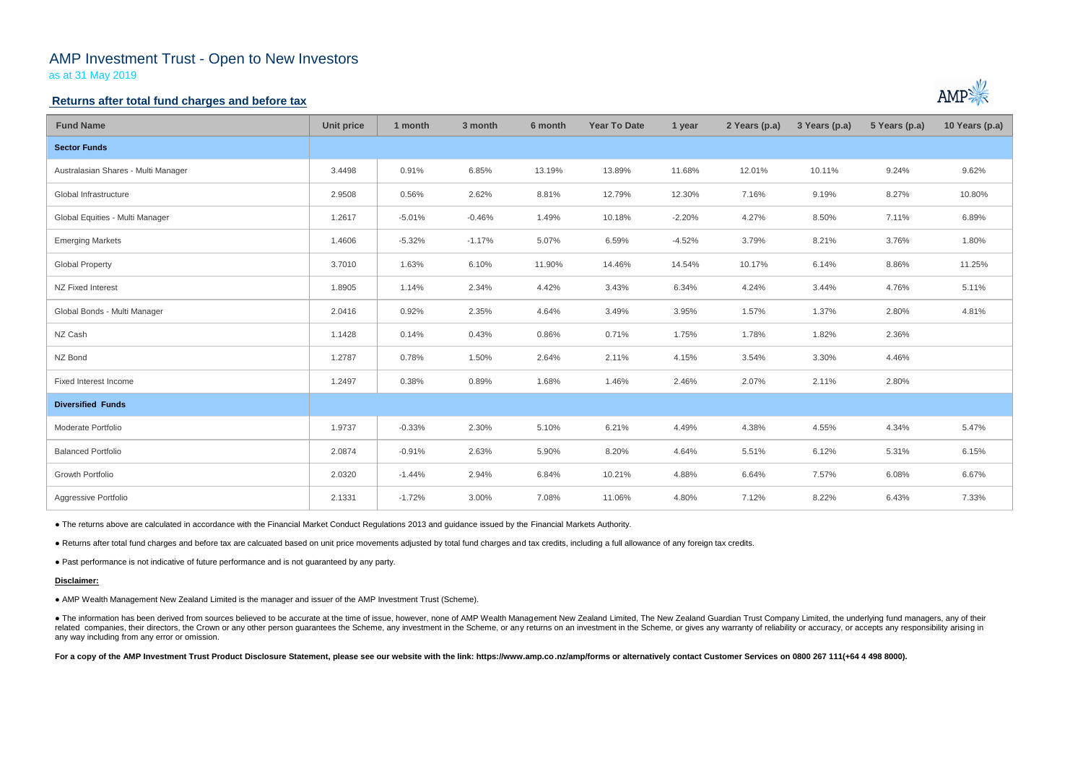# AMP Investment Trust - Open to New Investors

as at 31 May 2019

## **Returns after total fund charges and before tax**

| <b>Fund Name</b>                    | <b>Unit price</b> | 1 month  | 3 month  | 6 month | <b>Year To Date</b> | 1 year   | 2 Years (p.a) | 3 Years (p.a) | 5 Years (p.a) | 10 Years (p.a) |
|-------------------------------------|-------------------|----------|----------|---------|---------------------|----------|---------------|---------------|---------------|----------------|
| <b>Sector Funds</b>                 |                   |          |          |         |                     |          |               |               |               |                |
| Australasian Shares - Multi Manager | 3.4498            | 0.91%    | 6.85%    | 13.19%  | 13.89%              | 11.68%   | 12.01%        | 10.11%        | 9.24%         | 9.62%          |
| Global Infrastructure               | 2.9508            | 0.56%    | 2.62%    | 8.81%   | 12.79%              | 12.30%   | 7.16%         | 9.19%         | 8.27%         | 10.80%         |
| Global Equities - Multi Manager     | 1.2617            | $-5.01%$ | $-0.46%$ | 1.49%   | 10.18%              | $-2.20%$ | 4.27%         | 8.50%         | 7.11%         | 6.89%          |
| <b>Emerging Markets</b>             | 1.4606            | $-5.32%$ | $-1.17%$ | 5.07%   | 6.59%               | $-4.52%$ | 3.79%         | 8.21%         | 3.76%         | 1.80%          |
| <b>Global Property</b>              | 3.7010            | 1.63%    | 6.10%    | 11.90%  | 14.46%              | 14.54%   | 10.17%        | 6.14%         | 8.86%         | 11.25%         |
| NZ Fixed Interest                   | 1.8905            | 1.14%    | 2.34%    | 4.42%   | 3.43%               | 6.34%    | 4.24%         | 3.44%         | 4.76%         | 5.11%          |
| Global Bonds - Multi Manager        | 2.0416            | 0.92%    | 2.35%    | 4.64%   | 3.49%               | 3.95%    | 1.57%         | 1.37%         | 2.80%         | 4.81%          |
| NZ Cash                             | 1.1428            | 0.14%    | 0.43%    | 0.86%   | 0.71%               | 1.75%    | 1.78%         | 1.82%         | 2.36%         |                |
| NZ Bond                             | 1.2787            | 0.78%    | 1.50%    | 2.64%   | 2.11%               | 4.15%    | 3.54%         | 3.30%         | 4.46%         |                |
| Fixed Interest Income               | 1.2497            | 0.38%    | 0.89%    | 1.68%   | 1.46%               | 2.46%    | 2.07%         | 2.11%         | 2.80%         |                |
| <b>Diversified Funds</b>            |                   |          |          |         |                     |          |               |               |               |                |
| Moderate Portfolio                  | 1.9737            | $-0.33%$ | 2.30%    | 5.10%   | 6.21%               | 4.49%    | 4.38%         | 4.55%         | 4.34%         | 5.47%          |
| <b>Balanced Portfolio</b>           | 2.0874            | $-0.91%$ | 2.63%    | 5.90%   | 8.20%               | 4.64%    | 5.51%         | 6.12%         | 5.31%         | 6.15%          |
| Growth Portfolio                    | 2.0320            | $-1.44%$ | 2.94%    | 6.84%   | 10.21%              | 4.88%    | 6.64%         | 7.57%         | 6.08%         | 6.67%          |
| Aggressive Portfolio                | 2.1331            | $-1.72%$ | 3.00%    | 7.08%   | 11.06%              | 4.80%    | 7.12%         | 8.22%         | 6.43%         | 7.33%          |

• The information has been derived from sources believed to be accurate at the time of issue, however, none of AMP Wealth Management New Zealand Limited, The New Zealand Guardian Trust Company Limited, the underlying fund related companies, their directors, the Crown or any other person guarantees the Scheme, any investment in the Scheme, or any returns on an investment in the Scheme, or gives any warranty of reliability or accuracy, or acc any way including from any error or omission.

For a copy of the AMP Investment Trust Product Disclosure Statement, please see our website with the link: https://www.amp.co.nz/amp/forms or alternatively contact Customer Services on 0800 267 111(+64 4 498 8000).



● The returns above are calculated in accordance with the Financial Market Conduct Regulations 2013 and guidance issued by the Financial Markets Authority.

● Returns after total fund charges and before tax are calcuated based on unit price movements adjusted by total fund charges and tax credits, including a full allowance of any foreign tax credits.

● Past performance is not indicative of future performance and is not guaranteed by any party.

### **Disclaimer:**

● AMP Wealth Management New Zealand Limited is the manager and issuer of the AMP Investment Trust (Scheme).